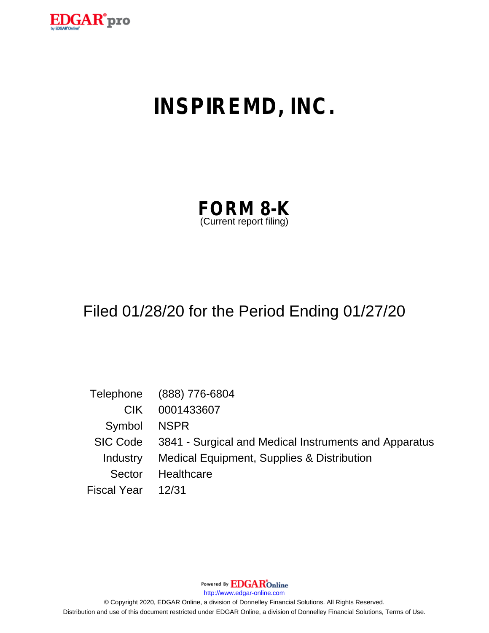

# **INSPIREMD, INC.**

| <b>FORM 8-K</b>         |  |
|-------------------------|--|
| (Current report filing) |  |

## Filed 01/28/20 for the Period Ending 01/27/20

|                    | Telephone (888) 776-6804                                       |
|--------------------|----------------------------------------------------------------|
| CIK.               | 0001433607                                                     |
| Symbol NSPR        |                                                                |
|                    | SIC Code 3841 - Surgical and Medical Instruments and Apparatus |
|                    | Industry Medical Equipment, Supplies & Distribution            |
| Sector             | Healthcare                                                     |
| Fiscal Year  12/31 |                                                                |

Powered By **EDGAR**Online

http://www.edgar-online.com

© Copyright 2020, EDGAR Online, a division of Donnelley Financial Solutions. All Rights Reserved. Distribution and use of this document restricted under EDGAR Online, a division of Donnelley Financial Solutions, Terms of Use.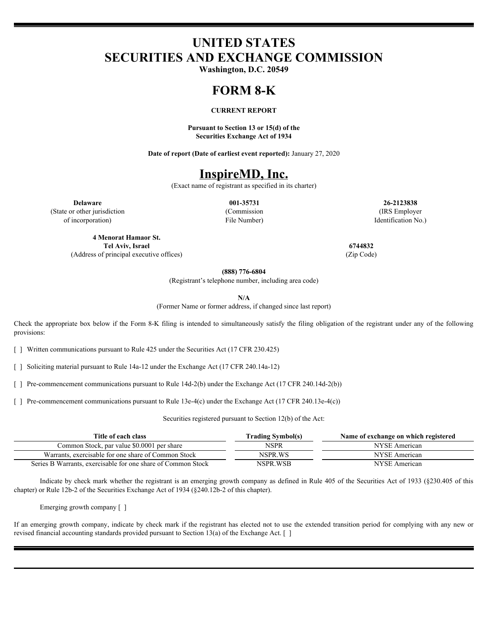## **UNITED STATES SECURITIES AND EXCHANGE COMMISSION**

**Washington, D.C. 20549**

#### **FORM 8-K**

#### **CURRENT REPORT**

**Pursuant to Section 13 or 15(d) of the Securities Exchange Act of 1934**

**Date of report (Date of earliest event reported):** January 27, 2020

## **InspireMD, Inc.**

(Exact name of registrant as specified in its charter)

(State or other jurisdiction of incorporation)

File Number)

**Delaware 001-35731 26-2123838** (Commission (IRS Employer Identification No.)

**4 Menorat Hamaor St. Tel Aviv, Israel 6744832** (Address of principal executive offices) (Zip Code)

**(888) 776-6804**

(Registrant's telephone number, including area code)

**N/A**

(Former Name or former address, if changed since last report)

Check the appropriate box below if the Form 8-K filing is intended to simultaneously satisfy the filing obligation of the registrant under any of the following provisions:

[ ] Written communications pursuant to Rule 425 under the Securities Act (17 CFR 230.425)

[ ] Soliciting material pursuant to Rule 14a-12 under the Exchange Act (17 CFR 240.14a-12)

[ ] Pre-commencement communications pursuant to Rule 14d-2(b) under the Exchange Act (17 CFR 240.14d-2(b))

[ ] Pre-commencement communications pursuant to Rule 13e-4(c) under the Exchange Act (17 CFR 240.13e-4(c))

Securities registered pursuant to Section 12(b) of the Act:

| Title of each class                                          | <b>Trading Symbol(s)</b> | Name of exchange on which registered |
|--------------------------------------------------------------|--------------------------|--------------------------------------|
| Common Stock, par value \$0,0001 per share                   | NSPR                     | NYSE American                        |
| Warrants, exercisable for one share of Common Stock          | NSPR WS                  | NYSE American                        |
| Series B Warrants, exercisable for one share of Common Stock | NSPR WSB                 | NYSE American                        |

Indicate by check mark whether the registrant is an emerging growth company as defined in Rule 405 of the Securities Act of 1933 (§230.405 of this chapter) or Rule 12b-2 of the Securities Exchange Act of 1934 (§240.12b-2 of this chapter).

Emerging growth company [ ]

If an emerging growth company, indicate by check mark if the registrant has elected not to use the extended transition period for complying with any new or revised financial accounting standards provided pursuant to Section 13(a) of the Exchange Act. [ ]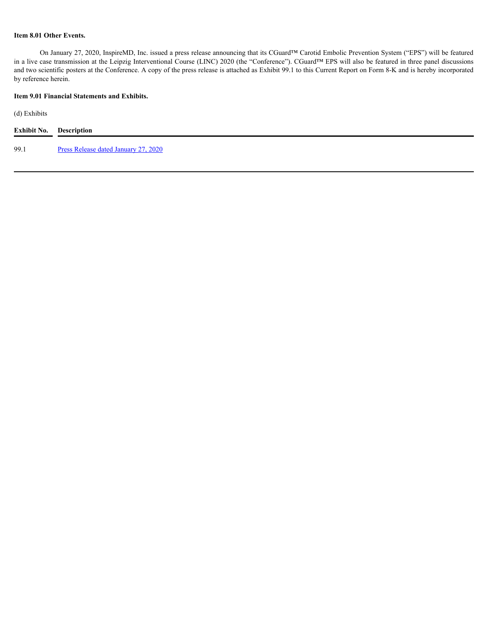#### **Item 8.01 Other Events.**

On January 27, 2020, InspireMD, Inc. issued a press release announcing that its CGuard™ Carotid Embolic Prevention System ("EPS") will be featured in a live case transmission at the Leipzig Interventional Course (LINC) 2020 (the "Conference"). CGuard™ EPS will also be featured in three panel discussions and two scientific posters at the Conference. A copy of the press release is attached as Exhibit 99.1 to this Current Report on Form 8-K and is hereby incorporated by reference herein.

#### **Item 9.01 Financial Statements and Exhibits.**

(d) Exhibits

| <b>Exhibit No.</b> | <b>Description</b>                          |
|--------------------|---------------------------------------------|
| 99.1               | <u>Press Release dated January 27, 2020</u> |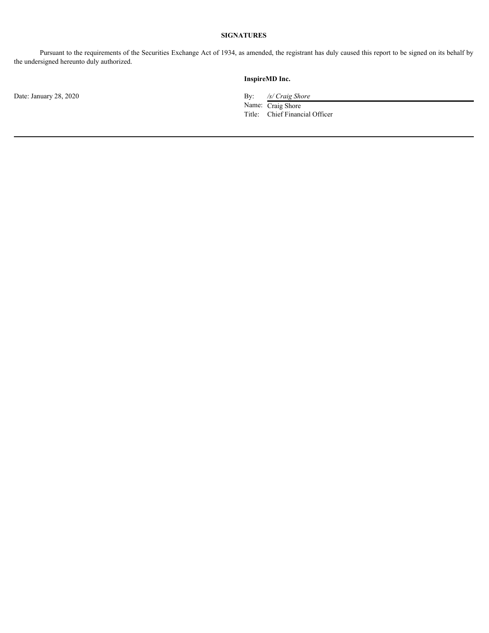### **SIGNATURES**

Pursuant to the requirements of the Securities Exchange Act of 1934, as amended, the registrant has duly caused this report to be signed on its behalf by the undersigned hereunto duly authorized.

Date: January 28, 2020 By: */s/ Craig Shore*

#### **InspireMD Inc.**

Name: Craig Shore Title: Chief Financial Officer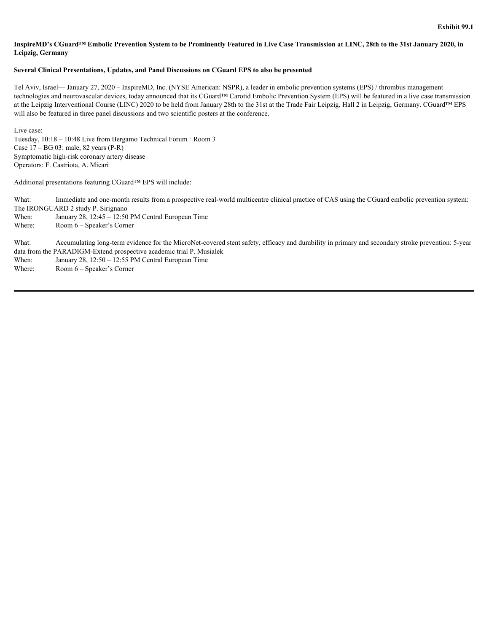#### <span id="page-5-0"></span>InspireMD's CGuard™ Embolic Prevention System to be Prominently Featured in Live Case Transmission at LINC, 28th to the 31st January 2020, **in Leipzig, Germany**

#### **Several Clinical Presentations, Updates, and Panel Discussions on CGuard EPS to also be presented**

Tel Aviv, Israel— January 27, 2020 – InspireMD, Inc. (NYSE American: NSPR), a leader in embolic prevention systems (EPS) / thrombus management technologies and neurovascular devices, today announced that its CGuard™ Carotid Embolic Prevention System (EPS) will be featured in a live case transmission at the Leipzig Interventional Course (LINC) 2020 to be held from January 28th to the 31st at the Trade Fair Leipzig, Hall 2 in Leipzig, Germany. CGuard™ EPS will also be featured in three panel discussions and two scientific posters at the conference.

Live case: Tuesday, 10:18 – 10:48 Live from Bergamo Technical Forum · Room 3 Case 17 – BG 03: male, 82 years (P-R) Symptomatic high-risk coronary artery disease Operators: F. Castriota, A. Micari

Additional presentations featuring CGuard™ EPS will include:

What: Immediate and one-month results from a prospective real-world multicentre clinical practice of CAS using the CGuard embolic prevention system: The IRONGUARD 2 study P. Sirignano

When: January  $28$ ,  $12:45 - 12:50$  PM Central European Time

Where: Room 6 – Speaker's Corner

What: Accumulating long-term evidence for the MicroNet-covered stent safety, efficacy and durability in primary and secondary stroke prevention: 5-year data from the PARADIGM-Extend prospective academic trial P. Musialek When: January 28, 12:50 – 12:55 PM Central European Time

Where: Room 6 – Speaker's Corner